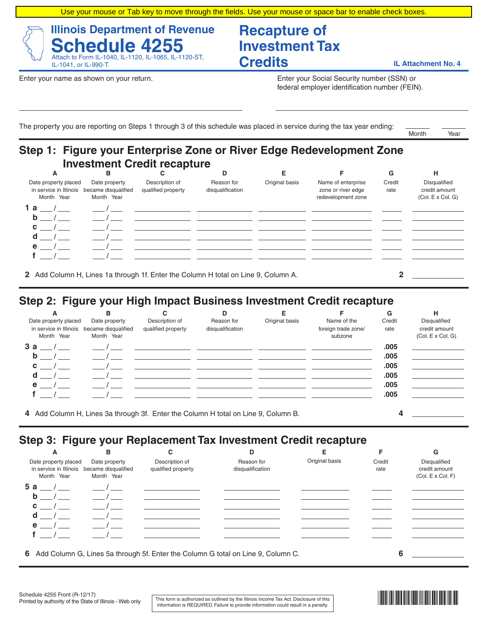Use your mouse or Tab key to move through the fields. Use your mouse or space bar to enable check boxes.

#### **Illinois Department of Revenue Schedule 4255** Attach to Form IL-1040, IL-1120, IL-1065, IL-1120-ST, IL-1041, or IL-990-T.

# **Recapture of Investment Tax Credits IL Attachment No. 4**

Enter your name as shown on your return. The state of the state of the state of the state of SSN) or Enter your Social Security number (SSN) or federal employer identification number (FEIN).

The property you are reporting on Steps 1 through 3 of this schedule was placed in service during the tax year ending:

Month Year  $M_{\rm H}$  Month  $M_{\rm H}$ 

## **Step 1: Figure your Enterprise Zone or River Edge Redevelopment Zone Investment Credit recapture**

| A                                                            | в                                                  |                                      | D                                                                                  |                |                                                                | G              | н                                                                |
|--------------------------------------------------------------|----------------------------------------------------|--------------------------------------|------------------------------------------------------------------------------------|----------------|----------------------------------------------------------------|----------------|------------------------------------------------------------------|
| Date property placed<br>in service in Illinois<br>Month Year | Date property<br>became disqualified<br>Month Year | Description of<br>qualified property | Reason for<br>disqualification                                                     | Original basis | Name of enterprise<br>zone or river edge<br>redevelopment zone | Credit<br>rate | <b>Disqualified</b><br>credit amount<br>$(Col. E \times Col. G)$ |
| 1 a /                                                        |                                                    |                                      |                                                                                    |                |                                                                |                |                                                                  |
| $b$ /                                                        |                                                    |                                      |                                                                                    |                |                                                                |                |                                                                  |
| $c \qquad /$                                                 |                                                    |                                      |                                                                                    |                |                                                                |                |                                                                  |
| $d \sqrt{2}$                                                 |                                                    |                                      |                                                                                    |                |                                                                |                |                                                                  |
| $e$ /                                                        |                                                    |                                      |                                                                                    |                |                                                                |                |                                                                  |
|                                                              |                                                    |                                      |                                                                                    |                |                                                                |                |                                                                  |
|                                                              |                                                    |                                      | 2 Add Column H, Lines 1a through 1f. Enter the Column H total on Line 9, Column A. |                |                                                                |                |                                                                  |

## **Step 2: Figure your High Impact Business Investment Credit recapture**

| A<br>Date property placed<br>in service in Illinois<br>Month Year | в<br>Date property<br>became disqualified<br>Month Year | Description of<br>qualified property                                               | D<br>Reason for<br>disqualification | Original basis | Name of the<br>foreign trade zone/<br>subzone | G<br>Credit<br>rate                          | н<br><b>Disqualified</b><br>credit amount<br>(Col. E x Col. G) |
|-------------------------------------------------------------------|---------------------------------------------------------|------------------------------------------------------------------------------------|-------------------------------------|----------------|-----------------------------------------------|----------------------------------------------|----------------------------------------------------------------|
| $3a$ __ $/$ __<br>$b$ /<br>$\mathbf{C}$ /<br>d<br>$e$ /           |                                                         | $\overline{1}$                                                                     |                                     |                |                                               | .005<br>.005<br>.005<br>.005<br>.005<br>.005 |                                                                |
|                                                                   |                                                         | 4 Add Column H, Lines 3a through 3f. Enter the Column H total on Line 9, Column B. |                                     |                |                                               |                                              |                                                                |

## **Step 3: Figure your Replacement Tax Investment Credit recapture**

| A                                                            | в                                                  |                                      | D                                                                                | Е              |                | G                                                         |
|--------------------------------------------------------------|----------------------------------------------------|--------------------------------------|----------------------------------------------------------------------------------|----------------|----------------|-----------------------------------------------------------|
| Date property placed<br>in service in Illinois<br>Month Year | Date property<br>became disqualified<br>Month Year | Description of<br>qualified property | Reason for<br>disqualification                                                   | Original basis | Credit<br>rate | <b>Disqualified</b><br>credit amount<br>(Col. E x Col. F) |
| $5a$ /                                                       |                                                    |                                      |                                                                                  |                |                |                                                           |
| $b$ /                                                        |                                                    |                                      |                                                                                  |                |                |                                                           |
| $c \sqrt{2}$                                                 |                                                    |                                      |                                                                                  |                |                |                                                           |
| $d \qquad /$                                                 |                                                    |                                      |                                                                                  |                |                |                                                           |
| $e$ /                                                        |                                                    |                                      |                                                                                  |                |                |                                                           |
|                                                              |                                                    |                                      |                                                                                  |                |                |                                                           |
|                                                              |                                                    |                                      |                                                                                  |                |                |                                                           |
| 6.                                                           |                                                    |                                      | Add Column G, Lines 5a through 5f. Enter the Column G total on Line 9, Column C. |                | 6              |                                                           |

This form is authorized as outlined by the Illinois Income Tax Act. Disclosure of this information is REQUIRED. Failure to provide information could result in a penalty.